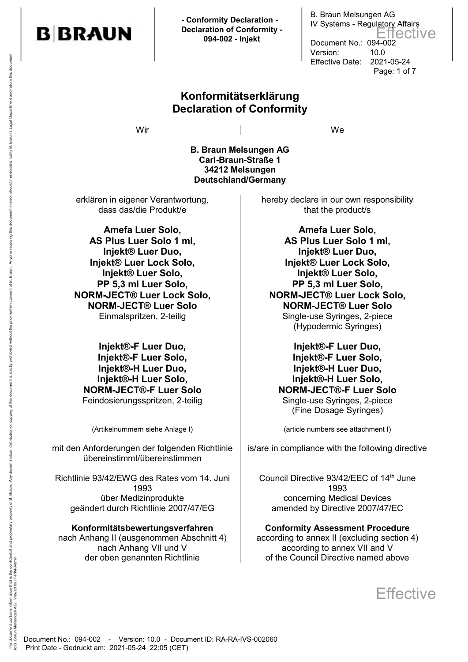

 **- Conformity Declaration - Declaration of Conformity - 094-002 - Injekt**

## **Konformitätserklärung Declaration of Conformity**

Wir and the contract of the contract of the contract of the contract of the contract of the contract of the contract of the contract of the contract of the contract of the contract of the contract of the contract of the co

B. Braun Melsungen AG IV Systems - Regulatory Affairs

Document No.: 094-002 Version: 10.0

Effective Date: 2021-05-24

Page: 1 of 7

Effective

**B. Braun Melsungen AG Carl-Braun-Straße 1 34212 Melsungen Deutschland/Germany**

erklären in eigener Verantwortung, dass das/die Produkt/e

**Amefa Luer Solo, AS Plus Luer Solo 1 ml, Injekt® Luer Duo, Injekt® Luer Lock Solo, Injekt® Luer Solo, PP 5,3 ml Luer Solo, NORM-JECT® Luer Lock Solo, NORM-JECT® Luer Solo**

**Injekt®-F Luer Duo, Injekt®-F Luer Solo, Injekt®-H Luer Duo, Injekt®-H Luer Solo, NORM-JECT®-F Luer Solo** Feindosierungsspritzen, 2-teilig auch auch Single-use Syringes, 2-piece

mit den Anforderungen der folgenden Richtlinie übereinstimmt/übereinstimmen

Richtlinie 93/42/EWG des Rates vom 14. Juni 1993 über Medizinprodukte geändert durch Richtlinie 2007/47/EG

#### **Konformitätsbewertungsverfahren**

nach Anhang II (ausgenommen Abschnitt 4) nach Anhang VII und V der oben genannten Richtlinie

hereby declare in our own responsibility that the product/s

**Amefa Luer Solo, AS Plus Luer Solo 1 ml, Injekt® Luer Duo, Injekt® Luer Lock Solo, Injekt® Luer Solo, PP 5,3 ml Luer Solo, NORM-JECT® Luer Lock Solo, NORM-JECT® Luer Solo** Einmalspritzen, 2-teilig and Single-use Syringes, 2-piece (Hypodermic Syringes)

> **Injekt®-F Luer Duo, Injekt®-F Luer Solo, Injekt®-H Luer Duo, Injekt®-H Luer Solo, NORM-JECT®-F Luer Solo** (Fine Dosage Syringes)

(Artikelnummern siehe Anlage I) (article numbers see attachment I)

is/are in compliance with the following directive

Council Directive 93/42/EEC of 14th June 1993 concerning Medical Devices amended by Directive 2007/47/EC

#### **Conformity Assessment Procedure**

according to annex II (excluding section 4) according to annex VII and V of the Council Directive named above

**Effective** 

to B. Braun Melsungen AG. Viewed by:IF-PIM-Admin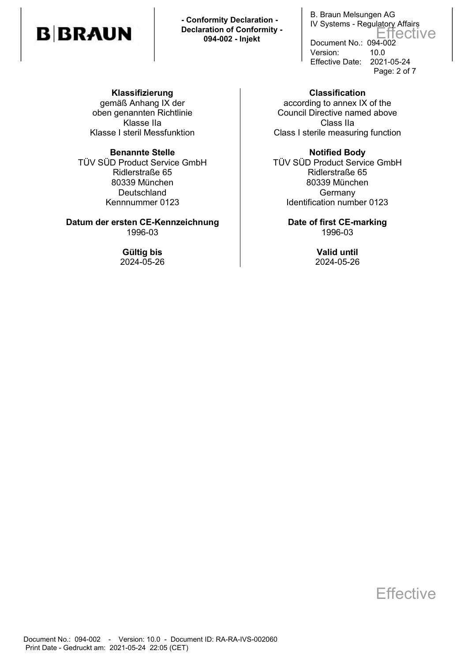# **BBRAUN**

 **- Conformity Declaration - Declaration of Conformity - 094-002 - Injekt**

B. Braun Melsungen AG IV Systems - Regulatory Affairs Document No.: 094-002 Version: 10.0 Effective Date: 2021-05-24 Page: 2 of 7 Effective

**Klassifizierung**  gemäß Anhang IX der oben genannten Richtlinie Klasse IIa Klasse I steril Messfunktion

TÜV SÜD Product Service GmbH Ridlerstraße 65 80339 München **Deutschland** Kennnummer 0123

**Datum der ersten CE-Kennzeichnung** | Date of first CE-marking 1996-03 1996-03

**Classification**  according to annex IX of the Council Directive named above Class IIa Class I sterile measuring function

**Benannte Stelle Notified Body** TÜV SÜD Product Service GmbH Ridlerstraße 65 80339 München **Germany** Identification number 0123

**Gültig bis Valid until** 2024-05-26 2024-05-26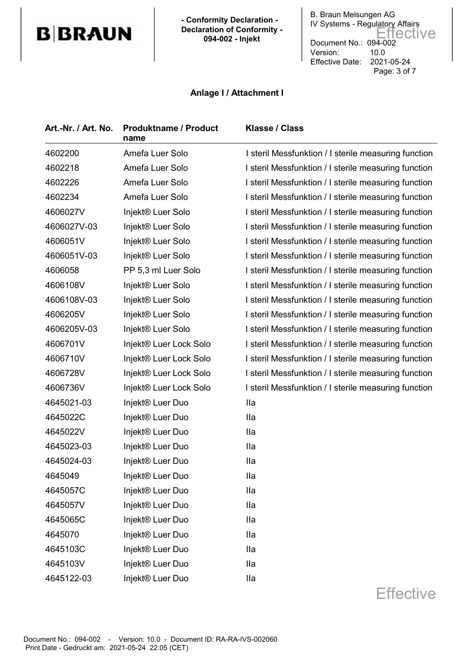## **B**BRAUN

 **- Conformity Declaration - Declaration of Conformity - 094-002 - Injekt**

B. Braun Melsungen AG IV Systems - Regulatory Affairs Document No.: 094-002 Version: 10.0 Effective Date: 2021-05-24 Page: 3 of 7 Effective

## **Anlage I / Attachment I**

| Art.-Nr. / Art. No. | <b>Produktname / Product</b><br>name | <b>Klasse / Class</b>                                |
|---------------------|--------------------------------------|------------------------------------------------------|
| 4602200             | Amefa Luer Solo                      | I steril Messfunktion / I sterile measuring function |
| 4602218             | Amefa Luer Solo                      | I steril Messfunktion / I sterile measuring function |
| 4602226             | Amefa Luer Solo                      | I steril Messfunktion / I sterile measuring function |
| 4602234             | Amefa Luer Solo                      | I steril Messfunktion / I sterile measuring function |
| 4606027V            | Injekt® Luer Solo                    | I steril Messfunktion / I sterile measuring function |
| 4606027V-03         | Injekt® Luer Solo                    | I steril Messfunktion / I sterile measuring function |
| 4606051V            | Injekt® Luer Solo                    | I steril Messfunktion / I sterile measuring function |
| 4606051V-03         | Injekt® Luer Solo                    | I steril Messfunktion / I sterile measuring function |
| 4606058             | PP 5,3 ml Luer Solo                  | I steril Messfunktion / I sterile measuring function |
| 4606108V            | Injekt® Luer Solo                    | I steril Messfunktion / I sterile measuring function |
| 4606108V-03         | Injekt® Luer Solo                    | I steril Messfunktion / I sterile measuring function |
| 4606205V            | Injekt® Luer Solo                    | I steril Messfunktion / I sterile measuring function |
| 4606205V-03         | Injekt® Luer Solo                    | I steril Messfunktion / I sterile measuring function |
| 4606701V            | Injekt® Luer Lock Solo               | I steril Messfunktion / I sterile measuring function |
| 4606710V            | Injekt® Luer Lock Solo               | I steril Messfunktion / I sterile measuring function |
| 4606728V            | Injekt® Luer Lock Solo               | I steril Messfunktion / I sterile measuring function |
| 4606736V            | Injekt® Luer Lock Solo               | I steril Messfunktion / I sterile measuring function |
| 4645021-03          | Injekt® Luer Duo                     | <b>Ila</b>                                           |
| 4645022C            | Injekt® Luer Duo                     | <b>Ila</b>                                           |
| 4645022V            | Injekt <sup>®</sup> Luer Duo         | <b>Ila</b>                                           |
| 4645023-03          | Injekt <sup>®</sup> Luer Duo         | <b>Ila</b>                                           |
| 4645024-03          | Injekt <sup>®</sup> Luer Duo         | <b>Ila</b>                                           |
| 4645049             | Injekt® Luer Duo                     | lla                                                  |
| 4645057C            | Injekt® Luer Duo                     | <b>Ila</b>                                           |
| 4645057V            | Injekt® Luer Duo                     | <b>Ila</b>                                           |
| 4645065C            | Injekt® Luer Duo                     | <b>Ila</b>                                           |
| 4645070             | Injekt® Luer Duo                     | <b>Ila</b>                                           |
| 4645103C            | Injekt® Luer Duo                     | <b>Ila</b>                                           |
| 4645103V            | Injekt® Luer Duo                     | <b>Ila</b>                                           |
| 4645122-03          | Injekt® Luer Duo                     | <b>Ila</b>                                           |
|                     |                                      | Effective                                            |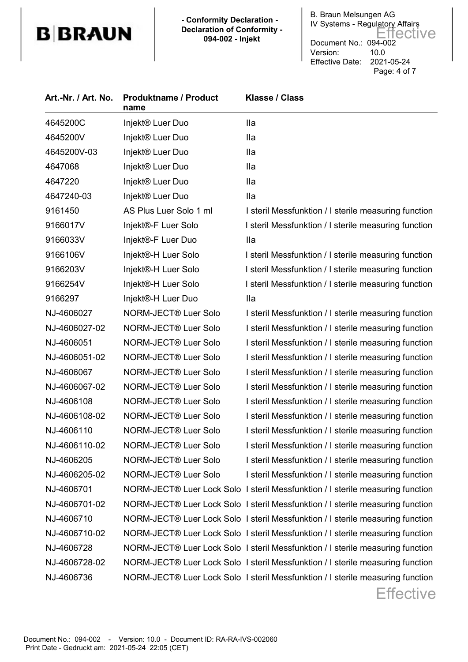## **B**BRAUN

 **- Conformity Declaration - Declaration of Conformity - 094-002 - Injekt**

B. Braun Melsungen AG IV Systems - Regulatory Affairs Document No.: 094-002 Version: 10.0 Effective Date: 2021-05-24 Page: 4 of 7 Effective

| Art.-Nr. / Art. No. | <b>Produktname / Product</b><br>name | Klasse / Class                                                                 |
|---------------------|--------------------------------------|--------------------------------------------------------------------------------|
| 4645200C            | Injekt <sup>®</sup> Luer Duo         | <b>Ila</b>                                                                     |
| 4645200V            | Injekt <sup>®</sup> Luer Duo         | <b>Ila</b>                                                                     |
| 4645200V-03         | Injekt <sup>®</sup> Luer Duo         | <b>Ila</b>                                                                     |
| 4647068             | Injekt <sup>®</sup> Luer Duo         | <b>Ila</b>                                                                     |
| 4647220             | Injekt <sup>®</sup> Luer Duo         | <b>Ila</b>                                                                     |
| 4647240-03          | Injekt® Luer Duo                     | <b>Ila</b>                                                                     |
| 9161450             | AS Plus Luer Solo 1 ml               | I steril Messfunktion / I sterile measuring function                           |
| 9166017V            | Injekt®-F Luer Solo                  | I steril Messfunktion / I sterile measuring function                           |
| 9166033V            | Injekt®-F Luer Duo                   | <b>Ila</b>                                                                     |
| 9166106V            | Injekt®-H Luer Solo                  | I steril Messfunktion / I sterile measuring function                           |
| 9166203V            | Injekt®-H Luer Solo                  | I steril Messfunktion / I sterile measuring function                           |
| 9166254V            | Injekt®-H Luer Solo                  | I steril Messfunktion / I sterile measuring function                           |
| 9166297             | Injekt®-H Luer Duo                   | <b>Ila</b>                                                                     |
| NJ-4606027          | NORM-JECT® Luer Solo                 | I steril Messfunktion / I sterile measuring function                           |
| NJ-4606027-02       | NORM-JECT <sup>®</sup> Luer Solo     | I steril Messfunktion / I sterile measuring function                           |
| NJ-4606051          | NORM-JECT® Luer Solo                 | I steril Messfunktion / I sterile measuring function                           |
| NJ-4606051-02       | NORM-JECT® Luer Solo                 | I steril Messfunktion / I sterile measuring function                           |
| NJ-4606067          | NORM-JECT® Luer Solo                 | I steril Messfunktion / I sterile measuring function                           |
| NJ-4606067-02       | NORM-JECT® Luer Solo                 | I steril Messfunktion / I sterile measuring function                           |
| NJ-4606108          | NORM-JECT® Luer Solo                 | I steril Messfunktion / I sterile measuring function                           |
| NJ-4606108-02       | NORM-JECT® Luer Solo                 | I steril Messfunktion / I sterile measuring function                           |
| NJ-4606110          | NORM-JECT® Luer Solo                 | I steril Messfunktion / I sterile measuring function                           |
| NJ-4606110-02       | NORM-JECT® Luer Solo                 | I steril Messfunktion / I sterile measuring function                           |
| NJ-4606205          | NORM-JECT® Luer Solo                 | I steril Messfunktion / I sterile measuring function                           |
| NJ-4606205-02       | NORM-JECT <sup>®</sup> Luer Solo     | I steril Messfunktion / I sterile measuring function                           |
| NJ-4606701          |                                      | NORM-JECT® Luer Lock Solo I steril Messfunktion / I sterile measuring function |
| NJ-4606701-02       |                                      | NORM-JECT® Luer Lock Solo I steril Messfunktion / I sterile measuring function |
| NJ-4606710          |                                      | NORM-JECT® Luer Lock Solo I steril Messfunktion / I sterile measuring function |
| NJ-4606710-02       |                                      | NORM-JECT® Luer Lock Solo I steril Messfunktion / I sterile measuring function |
| NJ-4606728          |                                      | NORM-JECT® Luer Lock Solo I steril Messfunktion / I sterile measuring function |
| NJ-4606728-02       |                                      | NORM-JECT® Luer Lock Solo I steril Messfunktion / I sterile measuring function |
| NJ-4606736          |                                      | NORM-JECT® Luer Lock Solo I steril Messfunktion / I sterile measuring function |
|                     |                                      | Effective                                                                      |

Document No.: 094-002 - Version: 10.0 - Document ID: RA-RA-IVS-002060 Print Date - Gedruckt am: 2021-05-24 22:05 (CET)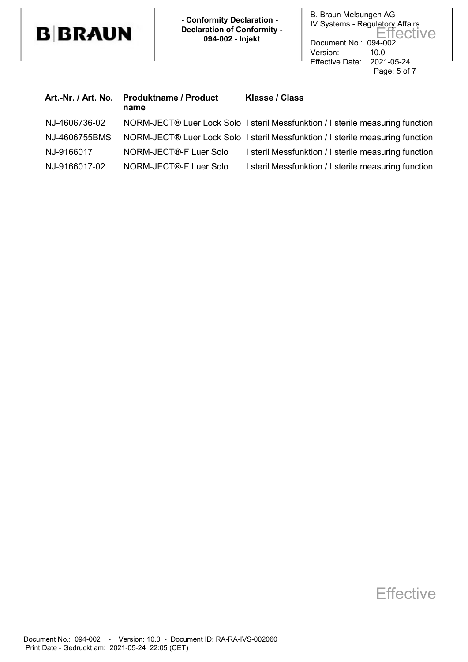

 **- Conformity Declaration - Declaration of Conformity - 094-002 - Injekt**

B. Braun Melsungen AG IV Systems - Regulatory Affairs Document No.: 094-002 Version: 10.0 Effective Date: 2021-05-24 Page: 5 of 7 Effective

|               | Art.-Nr. / Art. No. Produktname / Product<br>name | <b>Klasse / Class</b>                                                          |
|---------------|---------------------------------------------------|--------------------------------------------------------------------------------|
| NJ-4606736-02 |                                                   | NORM-JECT® Luer Lock Solo I steril Messfunktion / I sterile measuring function |
| NJ-4606755BMS |                                                   | NORM-JECT® Luer Lock Solo I steril Messfunktion / I sterile measuring function |
| NJ-9166017    | NORM-JECT®-F Luer Solo                            | I steril Messfunktion / I sterile measuring function                           |
| NJ-9166017-02 | NORM-JECT®-F Luer Solo                            | I steril Messfunktion / I sterile measuring function                           |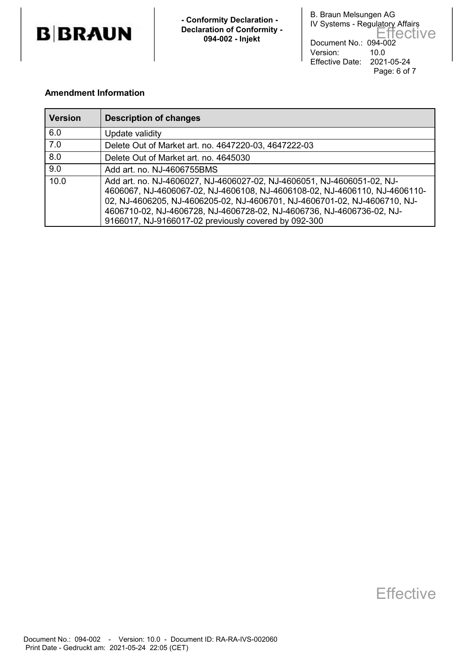

 **- Conformity Declaration - Declaration of Conformity - 094-002 - Injekt**

B. Braun Melsungen AG IV Systems - Regulatory Affairs Document No.: 094-002 Version: 10.0 Effective Date: 2021-05-24 Page: 6 of 7 Effective

## **Amendment Information**

| <b>Version</b>   | <b>Description of changes</b>                                                                                                                                                                                                                                                                                                                                      |
|------------------|--------------------------------------------------------------------------------------------------------------------------------------------------------------------------------------------------------------------------------------------------------------------------------------------------------------------------------------------------------------------|
| 6.0              | Update validity                                                                                                                                                                                                                                                                                                                                                    |
| $\overline{7.0}$ | Delete Out of Market art. no. 4647220-03, 4647222-03                                                                                                                                                                                                                                                                                                               |
| 8.0              | Delete Out of Market art. no. 4645030                                                                                                                                                                                                                                                                                                                              |
| 9.0              | Add art. no. NJ-4606755BMS                                                                                                                                                                                                                                                                                                                                         |
| 10.0             | Add art. no. NJ-4606027, NJ-4606027-02, NJ-4606051, NJ-4606051-02, NJ-<br>4606067, NJ-4606067-02, NJ-4606108, NJ-4606108-02, NJ-4606110, NJ-4606110-<br>02, NJ-4606205, NJ-4606205-02, NJ-4606701, NJ-4606701-02, NJ-4606710, NJ-<br>4606710-02, NJ-4606728, NJ-4606728-02, NJ-4606736, NJ-4606736-02, NJ-<br>9166017, NJ-9166017-02 previously covered by 092-300 |